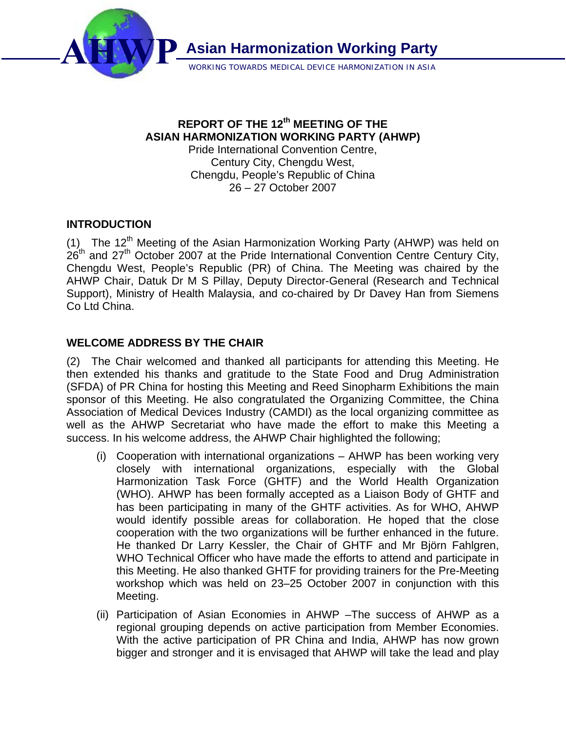

WORKING TOWARDS MEDICAL DEVICE HARMONIZATION IN ASIA

# **REPORT OF THE 12th MEETING OF THE ASIAN HARMONIZATION WORKING PARTY (AHWP)**

Pride International Convention Centre, Century City, Chengdu West, Chengdu, People's Republic of China 26 – 27 October 2007

# **INTRODUCTION**

(1) The 12<sup>th</sup> Meeting of the Asian Harmonization Working Party (AHWP) was held on  $26<sup>th</sup>$  and  $27<sup>th</sup>$  October 2007 at the Pride International Convention Centre Century City, Chengdu West, People's Republic (PR) of China. The Meeting was chaired by the AHWP Chair, Datuk Dr M S Pillay, Deputy Director-General (Research and Technical Support), Ministry of Health Malaysia, and co-chaired by Dr Davey Han from Siemens Co Ltd China.

# **WELCOME ADDRESS BY THE CHAIR**

(2) The Chair welcomed and thanked all participants for attending this Meeting. He then extended his thanks and gratitude to the State Food and Drug Administration (SFDA) of PR China for hosting this Meeting and Reed Sinopharm Exhibitions the main sponsor of this Meeting. He also congratulated the Organizing Committee, the China Association of Medical Devices Industry (CAMDI) as the local organizing committee as well as the AHWP Secretariat who have made the effort to make this Meeting a success. In his welcome address, the AHWP Chair highlighted the following;

- (i) Cooperation with international organizations AHWP has been working very closely with international organizations, especially with the Global Harmonization Task Force (GHTF) and the World Health Organization (WHO). AHWP has been formally accepted as a Liaison Body of GHTF and has been participating in many of the GHTF activities. As for WHO, AHWP would identify possible areas for collaboration. He hoped that the close cooperation with the two organizations will be further enhanced in the future. He thanked Dr Larry Kessler, the Chair of GHTF and Mr Björn Fahlgren, WHO Technical Officer who have made the efforts to attend and participate in this Meeting. He also thanked GHTF for providing trainers for the Pre-Meeting workshop which was held on 23–25 October 2007 in conjunction with this Meeting.
- (ii) Participation of Asian Economies in AHWP –The success of AHWP as a regional grouping depends on active participation from Member Economies. With the active participation of PR China and India, AHWP has now grown bigger and stronger and it is envisaged that AHWP will take the lead and play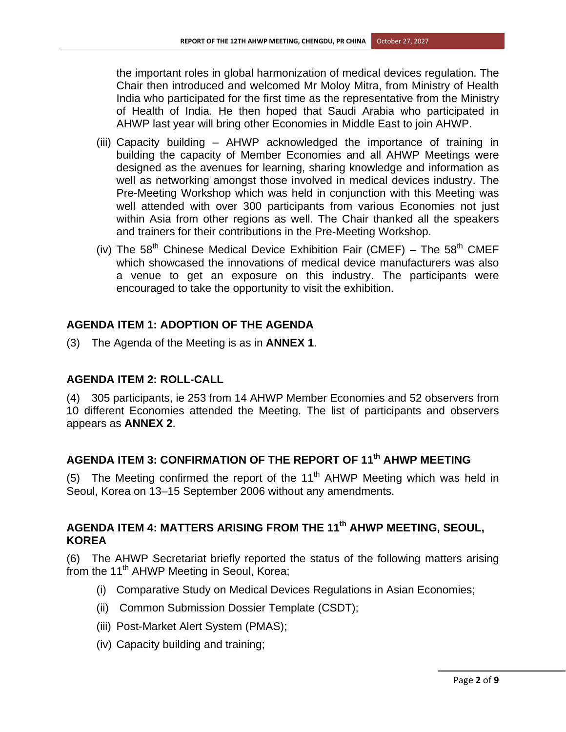the important roles in global harmonization of medical devices regulation. The Chair then introduced and welcomed Mr Moloy Mitra, from Ministry of Health India who participated for the first time as the representative from the Ministry of Health of India. He then hoped that Saudi Arabia who participated in AHWP last year will bring other Economies in Middle East to join AHWP.

- (iii) Capacity building AHWP acknowledged the importance of training in building the capacity of Member Economies and all AHWP Meetings were designed as the avenues for learning, sharing knowledge and information as well as networking amongst those involved in medical devices industry. The Pre-Meeting Workshop which was held in conjunction with this Meeting was well attended with over 300 participants from various Economies not just within Asia from other regions as well. The Chair thanked all the speakers and trainers for their contributions in the Pre-Meeting Workshop.
- (iv) The  $58<sup>th</sup>$  Chinese Medical Device Exhibition Fair (CMEF) The  $58<sup>th</sup>$  CMEF which showcased the innovations of medical device manufacturers was also a venue to get an exposure on this industry. The participants were encouraged to take the opportunity to visit the exhibition.

## **AGENDA ITEM 1: ADOPTION OF THE AGENDA**

(3) The Agenda of the Meeting is as in **ANNEX 1**.

### **AGENDA ITEM 2: ROLL-CALL**

(4) 305 participants, ie 253 from 14 AHWP Member Economies and 52 observers from 10 different Economies attended the Meeting. The list of participants and observers appears as **ANNEX 2**.

# **AGENDA ITEM 3: CONFIRMATION OF THE REPORT OF 11th AHWP MEETING**

(5) The Meeting confirmed the report of the 11<sup>th</sup> AHWP Meeting which was held in Seoul, Korea on 13–15 September 2006 without any amendments.

# **AGENDA ITEM 4: MATTERS ARISING FROM THE 11th AHWP MEETING, SEOUL, KOREA**

(6) The AHWP Secretariat briefly reported the status of the following matters arising from the 11<sup>th</sup> AHWP Meeting in Seoul, Korea;

- (i) Comparative Study on Medical Devices Regulations in Asian Economies;
- (ii) Common Submission Dossier Template (CSDT);
- (iii) Post-Market Alert System (PMAS);
- (iv) Capacity building and training;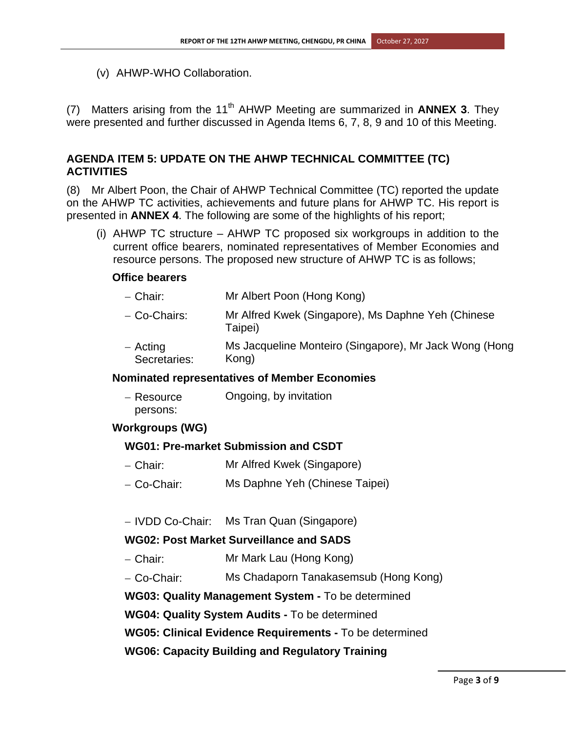(v) AHWP-WHO Collaboration.

(7) Matters arising from the 11<sup>th</sup> AHWP Meeting are summarized in **ANNEX 3**. They were presented and further discussed in Agenda Items 6, 7, 8, 9 and 10 of this Meeting.

### **AGENDA ITEM 5: UPDATE ON THE AHWP TECHNICAL COMMITTEE (TC) ACTIVITIES**

(8) Mr Albert Poon, the Chair of AHWP Technical Committee (TC) reported the update on the AHWP TC activities, achievements and future plans for AHWP TC. His report is presented in **ANNEX 4**. The following are some of the highlights of his report;

(i) AHWP TC structure – AHWP TC proposed six workgroups in addition to the current office bearers, nominated representatives of Member Economies and resource persons. The proposed new structure of AHWP TC is as follows;

#### **Office bearers**

- − Chair: Mr Albert Poon (Hong Kong)
- − Co-Chairs: Mr Alfred Kwek (Singapore), Ms Daphne Yeh (Chinese Taipei)
- − Acting Secretaries: Ms Jacqueline Monteiro (Singapore), Mr Jack Wong (Hong Kong)

#### **Nominated representatives of Member Economies**

| – Resource | Ongoing, by invitation |
|------------|------------------------|
| persons:   |                        |

#### **Workgroups (WG)**

#### **WG01: Pre-market Submission and CSDT**

- − Chair: Mr Alfred Kwek (Singapore)
- − Co-Chair: Ms Daphne Yeh (Chinese Taipei)

− IVDD Co-Chair: Ms Tran Quan (Singapore)

#### **WG02: Post Market Surveillance and SADS**

- − Chair: Mr Mark Lau (Hong Kong)
- − Co-Chair: Ms Chadaporn Tanakasemsub (Hong Kong)

**WG03: Quality Management System -** To be determined

**WG04: Quality System Audits -** To be determined

**WG05: Clinical Evidence Requirements -** To be determined

**WG06: Capacity Building and Regulatory Training**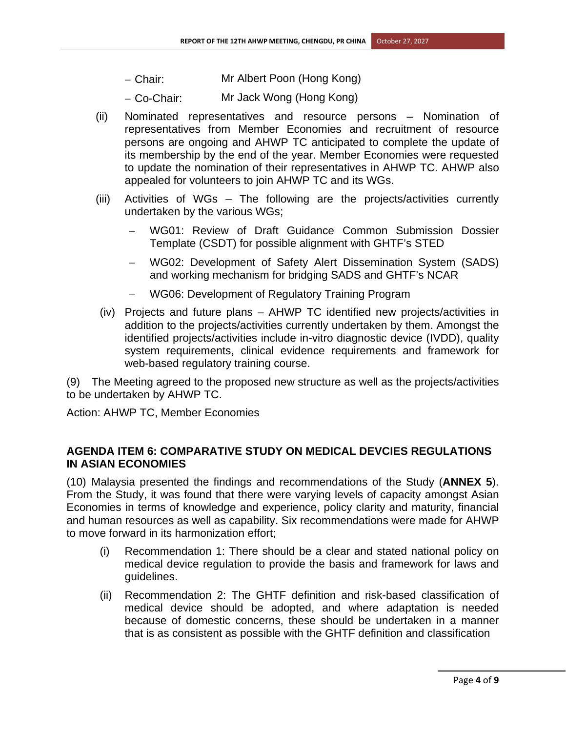- − Chair: Mr Albert Poon (Hong Kong)
- − Co-Chair: Mr Jack Wong (Hong Kong)
- (ii) Nominated representatives and resource persons Nomination of representatives from Member Economies and recruitment of resource persons are ongoing and AHWP TC anticipated to complete the update of its membership by the end of the year. Member Economies were requested to update the nomination of their representatives in AHWP TC. AHWP also appealed for volunteers to join AHWP TC and its WGs.
- (iii) Activities of WGs The following are the projects/activities currently undertaken by the various WGs;
	- WG01: Review of Draft Guidance Common Submission Dossier Template (CSDT) for possible alignment with GHTF's STED
	- − WG02: Development of Safety Alert Dissemination System (SADS) and working mechanism for bridging SADS and GHTF's NCAR
	- − WG06: Development of Regulatory Training Program
- (iv) Projects and future plans AHWP TC identified new projects/activities in addition to the projects/activities currently undertaken by them. Amongst the identified projects/activities include in-vitro diagnostic device (IVDD), quality system requirements, clinical evidence requirements and framework for web-based regulatory training course.

(9) The Meeting agreed to the proposed new structure as well as the projects/activities to be undertaken by AHWP TC.

Action: AHWP TC, Member Economies

## **AGENDA ITEM 6: COMPARATIVE STUDY ON MEDICAL DEVCIES REGULATIONS IN ASIAN ECONOMIES**

(10) Malaysia presented the findings and recommendations of the Study (**ANNEX 5**). From the Study, it was found that there were varying levels of capacity amongst Asian Economies in terms of knowledge and experience, policy clarity and maturity, financial and human resources as well as capability. Six recommendations were made for AHWP to move forward in its harmonization effort;

- (i) Recommendation 1: There should be a clear and stated national policy on medical device regulation to provide the basis and framework for laws and guidelines.
- (ii) Recommendation 2: The GHTF definition and risk-based classification of medical device should be adopted, and where adaptation is needed because of domestic concerns, these should be undertaken in a manner that is as consistent as possible with the GHTF definition and classification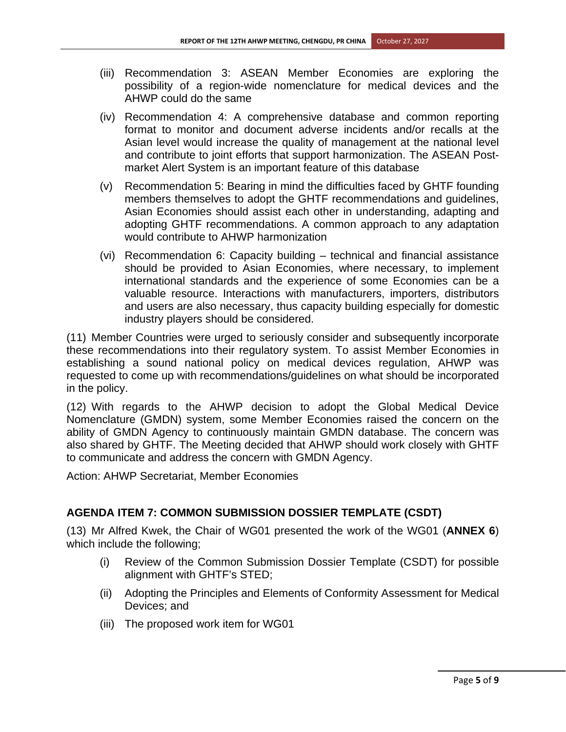- (iii) Recommendation 3: ASEAN Member Economies are exploring the possibility of a region-wide nomenclature for medical devices and the AHWP could do the same
- (iv) Recommendation 4: A comprehensive database and common reporting format to monitor and document adverse incidents and/or recalls at the Asian level would increase the quality of management at the national level and contribute to joint efforts that support harmonization. The ASEAN Postmarket Alert System is an important feature of this database
- (v) Recommendation 5: Bearing in mind the difficulties faced by GHTF founding members themselves to adopt the GHTF recommendations and guidelines, Asian Economies should assist each other in understanding, adapting and adopting GHTF recommendations. A common approach to any adaptation would contribute to AHWP harmonization
- (vi) Recommendation 6: Capacity building technical and financial assistance should be provided to Asian Economies, where necessary, to implement international standards and the experience of some Economies can be a valuable resource. Interactions with manufacturers, importers, distributors and users are also necessary, thus capacity building especially for domestic industry players should be considered.

(11) Member Countries were urged to seriously consider and subsequently incorporate these recommendations into their regulatory system. To assist Member Economies in establishing a sound national policy on medical devices regulation, AHWP was requested to come up with recommendations/guidelines on what should be incorporated in the policy.

(12) With regards to the AHWP decision to adopt the Global Medical Device Nomenclature (GMDN) system, some Member Economies raised the concern on the ability of GMDN Agency to continuously maintain GMDN database. The concern was also shared by GHTF. The Meeting decided that AHWP should work closely with GHTF to communicate and address the concern with GMDN Agency.

Action: AHWP Secretariat, Member Economies

# **AGENDA ITEM 7: COMMON SUBMISSION DOSSIER TEMPLATE (CSDT)**

(13) Mr Alfred Kwek, the Chair of WG01 presented the work of the WG01 (**ANNEX 6**) which include the following;

- (i) Review of the Common Submission Dossier Template (CSDT) for possible alignment with GHTF's STED;
- (ii) Adopting the Principles and Elements of Conformity Assessment for Medical Devices; and
- (iii) The proposed work item for WG01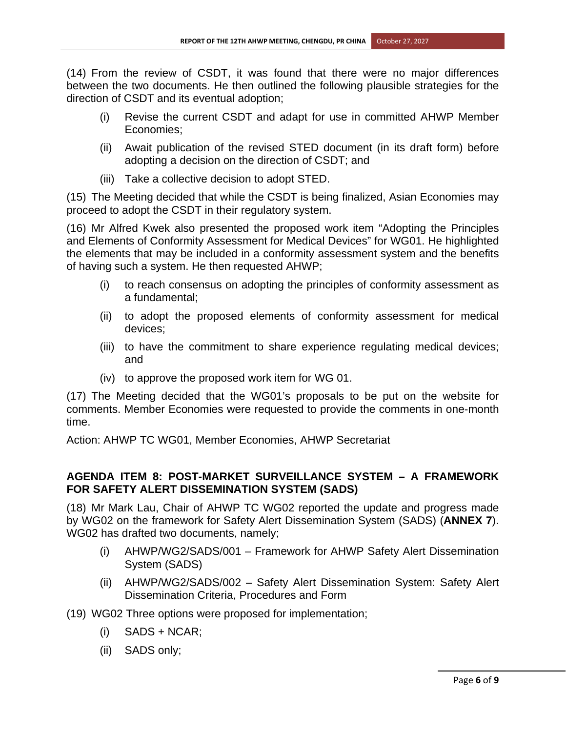(14) From the review of CSDT, it was found that there were no major differences between the two documents. He then outlined the following plausible strategies for the direction of CSDT and its eventual adoption;

- (i) Revise the current CSDT and adapt for use in committed AHWP Member Economies;
- (ii) Await publication of the revised STED document (in its draft form) before adopting a decision on the direction of CSDT; and
- (iii) Take a collective decision to adopt STED.

(15) The Meeting decided that while the CSDT is being finalized, Asian Economies may proceed to adopt the CSDT in their regulatory system.

(16) Mr Alfred Kwek also presented the proposed work item "Adopting the Principles and Elements of Conformity Assessment for Medical Devices" for WG01. He highlighted the elements that may be included in a conformity assessment system and the benefits of having such a system. He then requested AHWP;

- (i) to reach consensus on adopting the principles of conformity assessment as a fundamental;
- (ii) to adopt the proposed elements of conformity assessment for medical devices;
- (iii) to have the commitment to share experience regulating medical devices; and
- (iv) to approve the proposed work item for WG 01.

(17) The Meeting decided that the WG01's proposals to be put on the website for comments. Member Economies were requested to provide the comments in one-month time.

Action: AHWP TC WG01, Member Economies, AHWP Secretariat

# **AGENDA ITEM 8: POST-MARKET SURVEILLANCE SYSTEM – A FRAMEWORK FOR SAFETY ALERT DISSEMINATION SYSTEM (SADS)**

(18) Mr Mark Lau, Chair of AHWP TC WG02 reported the update and progress made by WG02 on the framework for Safety Alert Dissemination System (SADS) (**ANNEX 7**). WG02 has drafted two documents, namely;

- (i) AHWP/WG2/SADS/001 Framework for AHWP Safety Alert Dissemination System (SADS)
- (ii) AHWP/WG2/SADS/002 Safety Alert Dissemination System: Safety Alert Dissemination Criteria, Procedures and Form

(19) WG02 Three options were proposed for implementation;

- $(i)$  SADS + NCAR;
- (ii) SADS only;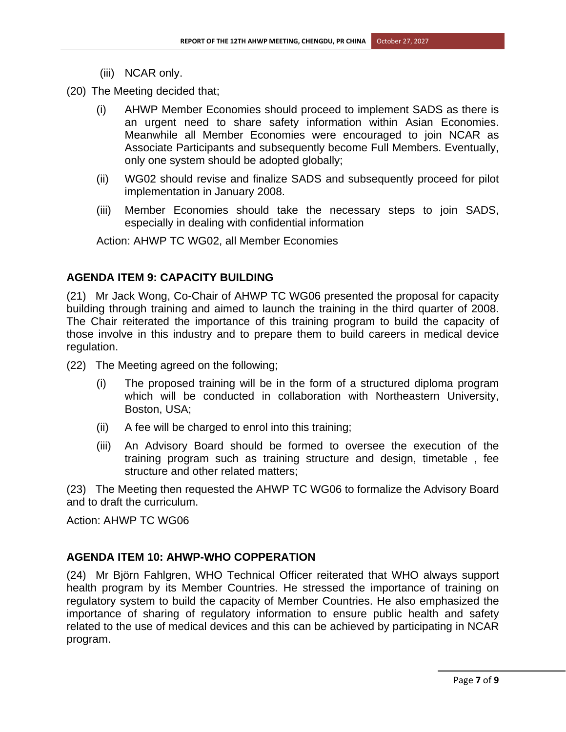- (iii) NCAR only.
- (20) The Meeting decided that;
	- (i) AHWP Member Economies should proceed to implement SADS as there is an urgent need to share safety information within Asian Economies. Meanwhile all Member Economies were encouraged to join NCAR as Associate Participants and subsequently become Full Members. Eventually, only one system should be adopted globally;
	- (ii) WG02 should revise and finalize SADS and subsequently proceed for pilot implementation in January 2008.
	- (iii) Member Economies should take the necessary steps to join SADS, especially in dealing with confidential information

Action: AHWP TC WG02, all Member Economies

### **AGENDA ITEM 9: CAPACITY BUILDING**

(21) Mr Jack Wong, Co-Chair of AHWP TC WG06 presented the proposal for capacity building through training and aimed to launch the training in the third quarter of 2008. The Chair reiterated the importance of this training program to build the capacity of those involve in this industry and to prepare them to build careers in medical device regulation.

(22) The Meeting agreed on the following;

- (i) The proposed training will be in the form of a structured diploma program which will be conducted in collaboration with Northeastern University, Boston, USA;
- (ii) A fee will be charged to enrol into this training;
- (iii) An Advisory Board should be formed to oversee the execution of the training program such as training structure and design, timetable , fee structure and other related matters;

(23) The Meeting then requested the AHWP TC WG06 to formalize the Advisory Board and to draft the curriculum.

Action: AHWP TC WG06

# **AGENDA ITEM 10: AHWP-WHO COPPERATION**

(24) Mr Björn Fahlgren, WHO Technical Officer reiterated that WHO always support health program by its Member Countries. He stressed the importance of training on regulatory system to build the capacity of Member Countries. He also emphasized the importance of sharing of regulatory information to ensure public health and safety related to the use of medical devices and this can be achieved by participating in NCAR program.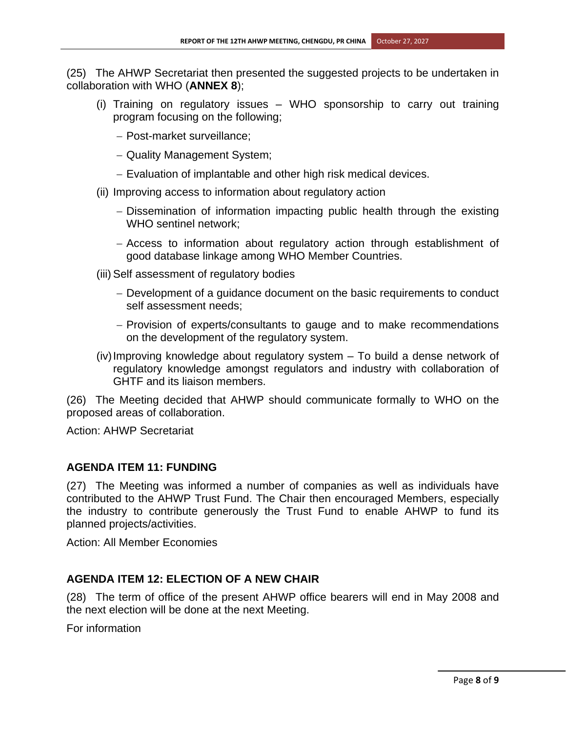(25) The AHWP Secretariat then presented the suggested projects to be undertaken in collaboration with WHO (**ANNEX 8**);

- (i) Training on regulatory issues WHO sponsorship to carry out training program focusing on the following;
	- − Post-market surveillance;
	- − Quality Management System;
	- − Evaluation of implantable and other high risk medical devices.
- (ii) Improving access to information about regulatory action
	- − Dissemination of information impacting public health through the existing WHO sentinel network;
	- − Access to information about regulatory action through establishment of good database linkage among WHO Member Countries.
- (iii) Self assessment of regulatory bodies
	- − Development of a guidance document on the basic requirements to conduct self assessment needs;
	- − Provision of experts/consultants to gauge and to make recommendations on the development of the regulatory system.
- (iv) Improving knowledge about regulatory system To build a dense network of regulatory knowledge amongst regulators and industry with collaboration of GHTF and its liaison members.

(26) The Meeting decided that AHWP should communicate formally to WHO on the proposed areas of collaboration.

Action: AHWP Secretariat

# **AGENDA ITEM 11: FUNDING**

(27) The Meeting was informed a number of companies as well as individuals have contributed to the AHWP Trust Fund. The Chair then encouraged Members, especially the industry to contribute generously the Trust Fund to enable AHWP to fund its planned projects/activities.

Action: All Member Economies

# **AGENDA ITEM 12: ELECTION OF A NEW CHAIR**

(28) The term of office of the present AHWP office bearers will end in May 2008 and the next election will be done at the next Meeting.

For information